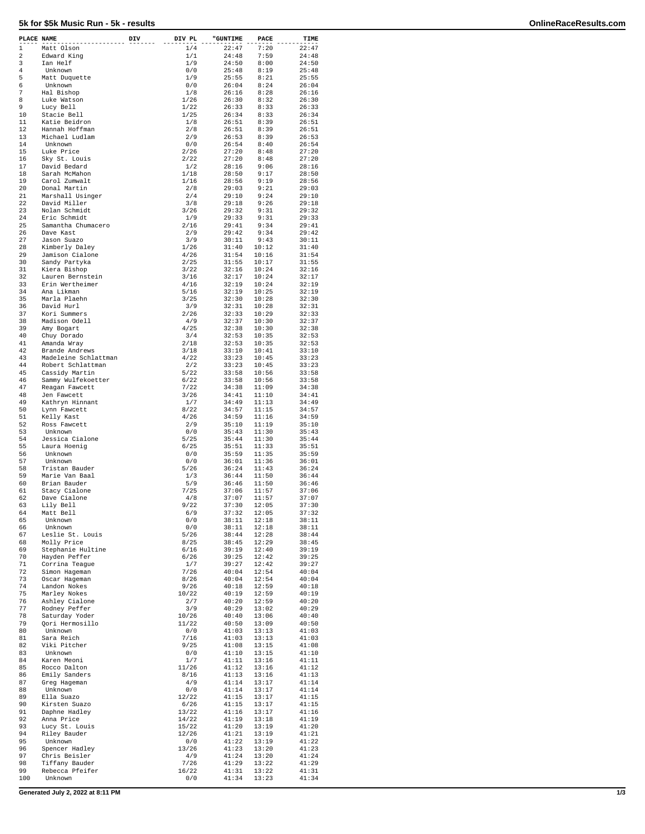## **5k for \$5k Music Run - 5k - results OnlineRaceResults.com**

| PLACE NAME |                                     | DIV | DIV PL         | "GUNTIME       | $\ensuremath{\mathsf{PACE}}$ | TIME           |
|------------|-------------------------------------|-----|----------------|----------------|------------------------------|----------------|
| 1          | Matt Olson                          |     | 1/4            | 22:47          | 7:20                         | 22:47          |
| 2          | Edward King                         |     | 1/1            | 24:48          | 7:59                         | 24:48          |
| 3<br>4     | Ian Helf<br>Unknown                 |     | 1/9<br>0/0     | 24:50<br>25:48 | 8:00<br>8:19                 | 24:50<br>25:48 |
| 5          | Matt Duquette                       |     | 1/9            | 25:55          | 8:21                         | 25:55          |
| 6          | Unknown                             |     | 0/0            | 26:04          | 8:24                         | 26:04          |
| 7          | Hal Bishop                          |     | 1/8            | 26:16          | 8:28                         | 26:16          |
| 8<br>9     | Luke Watson<br>Lucy Bell            |     | 1/26<br>1/22   | 26:30<br>26:33 | 8:32<br>8:33                 | 26:30<br>26:33 |
| 10         | Stacie Bell                         |     | 1/25           | 26:34          | 8:33                         | 26:34          |
| 11         | Katie Beidron                       |     | 1/8            | 26:51          | 8:39                         | 26:51          |
| 12         | Hannah Hoffman                      |     | 2/8            | 26:51          | 8:39                         | 26:51          |
| 13         | Michael Ludlam                      |     | 2/9            | 26:53          | 8:39                         | 26:53          |
| 14<br>15   | Unknown<br>Luke Price               |     | 0/0<br>2/26    | 26:54<br>27:20 | 8:40<br>8:48                 | 26:54<br>27:20 |
| 16         | Sky St. Louis                       |     | 2/22           | 27:20          | 8:48                         | 27:20          |
| 17         | David Bedard                        |     | 1/2            | 28:16          | 9:06                         | 28:16          |
| 18         | Sarah McMahon                       |     | 1/18           | 28:50          | 9:17                         | 28:50          |
| 19         | Carol Zumwalt                       |     | 1/16           | 28:56          | 9:19                         | 28:56          |
| 20<br>21   | Donal Martin<br>Marshall Usinger    |     | 2/8<br>2/4     | 29:03<br>29:10 | 9:21<br>9:24                 | 29:03<br>29:10 |
| 22         | David Miller                        |     | 3/8            | 29:18          | 9:26                         | 29:18          |
| 23         | Nolan Schmidt                       |     | 3/26           | 29:32          | 9:31                         | 29:32          |
| 24         | Eric Schmidt                        |     | 1/9            | 29:33          | 9:31                         | 29:33          |
| 25<br>26   | Samantha Chumacero<br>Dave Kast     |     | 2/16<br>2/9    | 29:41<br>29:42 | 9:34<br>9:34                 | 29:41<br>29:42 |
| 27         | Jason Suazo                         |     | 3/9            | 30:11          | 9:43                         | 30:11          |
| 28         | Kimberly Daley                      |     | 1/26           | 31:40          | 10:12                        | 31:40          |
| 29         | Jamison Cialone                     |     | 4/26           | 31:54          | 10:16                        | 31:54          |
| 30         | Sandy Partyka                       |     | 2/25           | 31:55          | 10:17                        | 31:55          |
| 31<br>32   | Kiera Bishop<br>Lauren Bernstein    |     | 3/22<br>3/16   | 32:16          | 10:24<br>10:24               | 32:16          |
| 33         | Erin Wertheimer                     |     | 4/16           | 32:17<br>32:19 | 10:24                        | 32:17<br>32:19 |
| 34         | Ana Likman                          |     | 5/16           | 32:19          | 10:25                        | 32:19          |
| 35         | Marla Plaehn                        |     | 3/25           | 32:30          | 10:28                        | 32:30          |
| 36         | David Hurl                          |     | 3/9            | 32:31          | 10:28                        | 32:31          |
| 37         | Kori Summers                        |     | 2/26           | 32:33          | 10:29                        | 32:33          |
| 38<br>39   | Madison Odell<br>Amy Bogart         |     | 4/9<br>4/25    | 32:37<br>32:38 | 10:30<br>10:30               | 32:37<br>32:38 |
| 40         | Chuy Dorado                         |     | 3/4            | 32:53          | 10:35                        | 32:53          |
| 41         | Amanda Wray                         |     | 2/18           | 32:53          | 10:35                        | 32:53          |
| 42         | Brande Andrews                      |     | 3/18           | 33:10          | 10:41                        | 33:10          |
| 43         | Madeleine Schlattman                |     | 4/22           | 33:23          | 10:45                        | 33:23          |
| 44<br>45   | Robert Schlattman<br>Cassidy Martin |     | 2/2<br>5/22    | 33:23<br>33:58 | 10:45<br>10:56               | 33:23<br>33:58 |
| 46         | Sammy Wulfekoetter                  |     | 6/22           | 33:58          | 10:56                        | 33:58          |
| 47         | Reagan Fawcett                      |     | 7/22           | 34:38          | 11:09                        | 34:38          |
| 48         | Jen Fawcett                         |     | 3/26           | 34:41          | 11:10                        | 34:41          |
| 49         | Kathryn Hinnant                     |     | 1/7            | 34:49          | 11:13                        | 34:49          |
| 50<br>51   | Lynn Fawcett<br>Kelly Kast          |     | 8/22<br>4/26   | 34:57<br>34:59 | 11:15<br>11:16               | 34:57<br>34:59 |
| 52         | Ross Fawcett                        |     | 2/9            | 35:10          | 11:19                        | 35:10          |
| 53         | Unknown                             |     | 0/0            | 35:43          | 11:30                        | 35:43          |
| 54         | Jessica Cialone                     |     | 5/25           | 35:44          | 11:30                        | 35:44          |
| 55         | Laura Hoenig<br>Unknown             |     | 6/25           | 35:51          | 11:33                        | 35:51          |
| 56<br>57   | Unknown                             |     | 0/0<br>0/0     | 35:59<br>36:01 | 11:35<br>11:36               | 35:59<br>36:01 |
| 58         | Tristan Bauder                      |     | 5/26           | 36:24          | 11:43                        | 36:24          |
| 59         | Marie Van Baal                      |     | 1/3            | 36:44          | 11:50                        | 36:44          |
| 60         | Brian Bauder                        |     | 5/9            | 36:46          | 11:50                        | 36:46          |
| 61         | Stacy Cialone<br>Dave Cialone       |     | 7/25           | 37:06          | 11:57                        | 37:06          |
| 62<br>63   | Lily Bell                           |     | 4/8<br>9/22    | 37:07<br>37:30 | 11:57<br>12:05               | 37:07<br>37:30 |
| 64         | Matt Bell                           |     | 6/9            | 37:32          | 12:05                        | 37:32          |
| 65         | Unknown                             |     | 0/0            | 38:11          | 12:18                        | 38:11          |
| 66         | Unknown                             |     | 0/0            | 38:11          | 12:18                        | 38:11          |
| 67         | Leslie St. Louis                    |     | 5/26           | 38:44          | 12:28                        | 38:44          |
| 68<br>69   | Molly Price<br>Stephanie Hultine    |     | 8/25<br>6/16   | 38:45<br>39:19 | 12:29<br>12:40               | 38:45<br>39:19 |
| 70         | Hayden Peffer                       |     | 6/26           | 39:25          | 12:42                        | 39:25          |
| 71         | Corrina Teaque                      |     | 1/7            | 39:27          | 12:42                        | 39:27          |
| 72         | Simon Hageman                       |     | 7/26           | 40:04          | 12:54                        | 40:04          |
| 73<br>74   | Oscar Hageman<br>Landon Nokes       |     | 8/26           | 40:04<br>40:18 | 12:54<br>12:59               | 40:04<br>40:18 |
| 75         | Marley Nokes                        |     | 9/26<br>10/22  | 40:19          | 12:59                        | 40:19          |
| 76         | Ashley Cialone                      |     | 2/7            | 40:20          | 12:59                        | 40:20          |
| 77         | Rodney Peffer                       |     | 3/9            | 40:29          | 13:02                        | 40:29          |
| 78         | Saturday Yoder                      |     | 10/26          | 40:40          | 13:06                        | 40:40          |
| 79         | Qori Hermosillo                     |     | 11/22          | 40:50          | 13:09                        | 40:50          |
| 80<br>81   | Unknown<br>Sara Reich               |     | 0/0<br>7/16    | 41:03<br>41:03 | 13:13<br>13:13               | 41:03<br>41:03 |
| 82         | Viki Pitcher                        |     | 9/25           | 41:08          | 13:15                        | 41:08          |
| 83         | Unknown                             |     | 0/0            | 41:10          | 13:15                        | 41:10          |
| 84         | Karen Meoni                         |     | 1/7            | 41:11          | 13:16                        | 41:11          |
| 85         | Rocco Dalton                        |     | 11/26          | 41:12          | 13:16                        | 41:12          |
| 86<br>87   | Emily Sanders<br>Greg Hageman       |     | 8/16<br>4/9    | 41:13<br>41:14 | 13:16<br>13:17               | 41:13<br>41:14 |
| 88         | Unknown                             |     | 0/0            | 41:14          | 13:17                        | 41:14          |
| 89         | Ella Suazo                          |     | 12/22          | 41:15          | 13:17                        | 41:15          |
| 90         | Kirsten Suazo                       |     | 6/26           | 41:15          | 13:17                        | 41:15          |
| 91         | Daphne Hadley                       |     | 13/22          | 41:16          | 13:17                        | 41:16          |
| 92<br>93   | Anna Price<br>Lucy St. Louis        |     | 14/22<br>15/22 | 41:19<br>41:20 | 13:18<br>13:19               | 41:19<br>41:20 |
| 94         | Riley Bauder                        |     | 12/26          | 41:21          | 13:19                        | 41:21          |
| 95         | Unknown                             |     | 0/0            | 41:22          | 13:19                        | 41:22          |
| 96         | Spencer Hadley                      |     | 13/26          | 41:23          | 13:20                        | 41:23          |
| 97         | Chris Beisler                       |     | 4/9            | 41:24          | 13:20                        | 41:24          |
| 98<br>99   | Tiffany Bauder<br>Rebecca Pfeifer   |     | 7/26<br>16/22  | 41:29<br>41:31 | 13:22<br>13:22               | 41:29<br>41:31 |
| 100        | Unknown                             |     | 0/0            | 41:34          | 13:23                        | 41:34          |
|            |                                     |     |                |                |                              |                |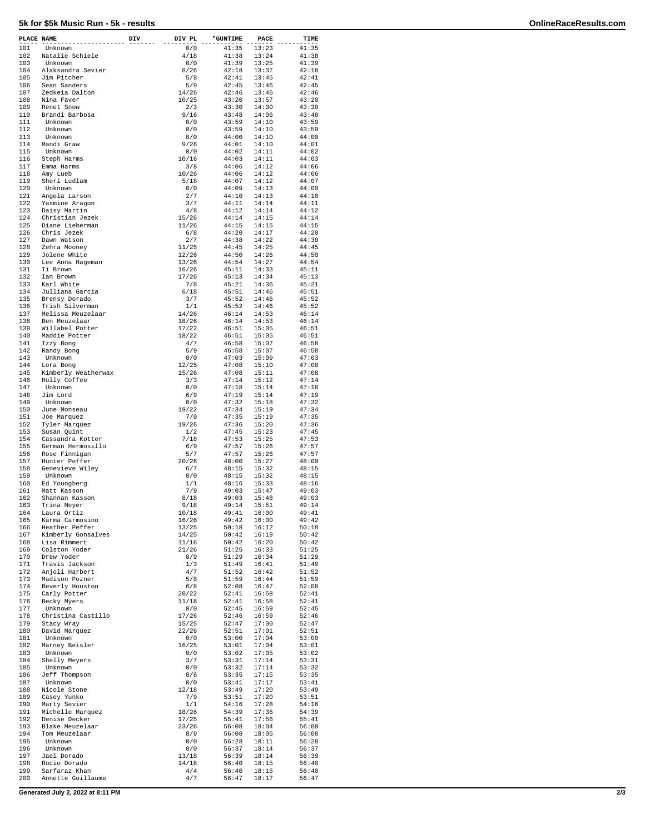## **5k for \$5k Music Run - 5k - results OnlineRaceResults.com**

| PLACE NAME |                                    | DIV | DIV PL         | "GUNTIME       | PACE           | TIME           |
|------------|------------------------------------|-----|----------------|----------------|----------------|----------------|
| 101        | Unknown                            |     | 0/0            | 41:35          | 13:23          | 41:35          |
| 102        | Natalie Schiele                    |     | 4/18           | 41:38          | 13:24          | 41:38          |
| 103        | Unknown                            |     | 0/0            | 41:39          | 13:25          | 41:39          |
| 104        | Alaksandra Sevier                  |     | 8/26           | 42:18          | 13:37          | 42:18          |
| 105<br>106 | Jim Pitcher<br>Sean Sanders        |     | 5/8<br>5/9     | 42:41<br>42:45 | 13:45<br>13:46 | 42:41<br>42:45 |
| 107        | Zedkeia Dalton                     |     | 14/26          | 42:46          | 13:46          | 42:46          |
| 108        | Nina Faver                         |     | 10/25          | 43:20          | 13:57          | 43:20          |
| 109        | Renet Snow                         |     | 2/3            | 43:30          | 14:00          | 43:30          |
| 110        | Brandi Barbosa                     |     | 9/16           | 43:48          | 14:06          | 43:48          |
| 111        | Unknown                            |     | 0/0            | 43:59          | 14:10          | 43:59          |
| 112        | Unknown                            |     | 0/0            | 43:59          | 14:10          | 43:59          |
| 113<br>114 | Unknown<br>Mandi Graw              |     | 0/0<br>9/26    | 44:00<br>44:01 | 14:10<br>14:10 | 44:00<br>44:01 |
| 115        | Unknown                            |     | 0/0            | 44:02          | 14:11          | 44:02          |
| 116        | Steph Harms                        |     | 10/16          | 44:03          | 14:11          | 44:03          |
| 117        | Emma Harms                         |     | 3/8            | 44:06          | 14:12          | 44:06          |
| 118        | Amy Lueb                           |     | 10/26          | 44:06          | 14:12          | 44:06          |
| 119        | Sheri Ludlam                       |     | 5/18           | 44:07          | 14:12          | 44:07          |
| 120        | Unknown                            |     | 0/0            | 44:09          | 14:13          | 44:09          |
| 121<br>122 | Angela Larson                      |     | 2/7<br>3/7     | 44:10<br>44:11 | 14:13<br>14:14 | 44:10<br>44:11 |
| 123        | Yasmine Aragon<br>Daisy Martin     |     | 4/8            | 44:12          | 14:14          | 44:12          |
| 124        | Christian Jezek                    |     | 15/26          | 44:14          | 14:15          | 44:14          |
| 125        | Diane Lieberman                    |     | 11/26          | 44:15          | 14:15          | 44:15          |
| 126        | Chris Jezek                        |     | 6/8            | 44:20          | 14:17          | 44:20          |
| 127        | Dawn Watson                        |     | 2/7            | 44:38          | 14:22          | 44:38          |
| 128        | Zehra Mooney                       |     | 11/25          | 44:45          | 14:25          | 44:45          |
| 129        | Jolene White                       |     | 12/26          | 44:50          | 14:26          | 44:50          |
| 130<br>131 | Lee Anna Hageman<br>Ti Brown       |     | 13/26<br>16/26 | 44:54<br>45:11 | 14:27<br>14:33 | 44:54<br>45:11 |
| 132        | Ian Brown                          |     | 17/26          | 45:13          | 14:34          | 45:13          |
| 133        | Karl White                         |     | 7/8            | 45:21          | 14:36          | 45:21          |
| 134        | Julliana Garcia                    |     | 6/18           | 45:51          | 14:46          | 45:51          |
| 135        | Brensy Dorado                      |     | 3/7            | 45:52          | 14:46          | 45:52          |
| 136        | Trish Silverman                    |     | 1/1            | 45:52          | 14:46          | 45:52          |
| 137        | Melissa Meuzelaar                  |     | 14/26          | 46:14          | 14:53          | 46:14          |
| 138        | Ben Meuzelaar                      |     | 18/26          | 46:14          | 14:53          | 46:14          |
| 139<br>140 | Willabel Potter<br>Maddie Potter   |     | 17/22<br>18/22 | 46:51<br>46:51 | 15:05<br>15:05 | 46:51<br>46:51 |
| 141        | Izzy Bong                          |     | 4/7            | 46:58          | 15:07          | 46:58          |
| 142        | Randy Bong                         |     | 5/9            | 46:58          | 15:07          | 46:58          |
| 143        | Unknown                            |     | 0/0            | 47:03          | 15:09          | 47:03          |
| 144        | Lora Bong                          |     | 12/25          | 47:08          | 15:10          | 47:08          |
| 145        | Kimberly Weatherwax                |     | 15/26          | 47:08          | 15:11          | 47:08          |
| 146        | Holly Coffee                       |     | 3/3            | 47:14          | 15:12          | 47:14          |
| 147<br>148 | Unknown<br>Jim Lord                |     | 0/0<br>6/9     | 47:18<br>47:19 | 15:14<br>15:14 | 47:18<br>47:19 |
| 149        | Unknown                            |     | 0/0            | 47:32          | 15:18          | 47:32          |
| 150        | June Monseau                       |     | 19/22          | 47:34          | 15:19          | 47:34          |
| 151        | Joe Marquez                        |     | 7/9            | 47:35          | 15:19          | 47:35          |
| 152        | Tyler Marquez                      |     | 19/26          | 47:36          | 15:20          | 47:36          |
| 153        | Susan Quint                        |     | 1/2            | 47:45          | 15:23          | 47:45          |
| 154        | Cassandra Kotter                   |     | 7/18           | 47:53          | 15:25          | 47:53          |
| 155<br>156 | German Hermosillo<br>Rose Finnigan |     | 6/9<br>5/7     | 47:57<br>47:57 | 15:26<br>15:26 | 47:57<br>47:57 |
| 157        | Hunter Peffer                      |     | 20/26          | 48:00          | 15:27          | 48:00          |
| 158        | Genevieve Wiley                    |     | 6/7            | 48:15          | 15:32          | 48:15          |
| 159        | Unknown                            |     | 0/0            | 48:15          | 15:32          | 48:15          |
| 160        | Ed Youngberg                       |     | 1/1            | 48:16          | 15:33          | 48:16          |
| 161        | Matt Kasson                        |     | 7/9            | 49:03          | 15:47          | 49:03          |
| 162        | Shannan Kasson                     |     | 8/18           | 49:03          | 15:48          | 49:03          |
| 163<br>164 | Trina Meyer<br>Laura Ortiz         |     | 9/18<br>10/18  | 49:14<br>49:41 | 15:51<br>16:00 | 49:14<br>49:41 |
| 165        | Karma Carmosino                    |     | 16/26          | 49:42          | 16:00          | 49:42          |
| 166        | Heather Peffer                     |     | 13/25          | 50:18          | 16:12          | 50:18          |
| 167        | Kimberly Gonsalves                 |     | 14/25          | 50:42          | 16:19          | 50:42          |
| 168        | Lisa Rimmert                       |     | 11/16          | 50:42          | 16:20          | 50:42          |
| 169        | Colston Yoder                      |     | 21/26          | 51:25          | 16:33          | 51:25          |
| 170<br>171 | Drew Yoder<br>Travis Jackson       |     | 8/9<br>1/3     | 51:29<br>51:49 | 16:34<br>16:41 | 51:29<br>51:49 |
| 172        | Anjoli Harbert                     |     | 4/7            | 51:52          | 16:42          | 51:52          |
| 173        | Madison Pozner                     |     | 5/8            | 51:59          | 16:44          | 51:59          |
| 174        | Beverly Houston                    |     | 6/8            | 52:08          | 16:47          | 52:08          |
| 175        | Carly Potter                       |     | 20/22          | 52:41          | 16:58          | 52:41          |
| 176        | Becky Myers                        |     | 11/18          | 52:41          | 16:58          | 52:41          |
| 177        | Unknown                            |     | 0/0            | 52:45          | 16:59          | 52:45          |
| 178<br>179 | Christina Castillo                 |     | 17/26          | 52:46<br>52:47 | 16:59<br>17:00 | 52:46<br>52:47 |
| 180        | Stacy Wray<br>David Marquez        |     | 15/25<br>22/26 | 52:51          | 17:01          | 52:51          |
| 181        | Unknown                            |     | 0/0            | 53:00          | 17:04          | 53:00          |
| 182        | Marney Beisler                     |     | 16/25          | 53:01          | 17:04          | 53:01          |
| 183        | Unknown                            |     | 0/0            | 53:02          | 17:05          | 53:02          |
| 184        | Shelly Meyers                      |     | 3/7            | 53:31          | 17:14          | 53:31          |
| 185        | Unknown                            |     | 0/0            | 53:32          | 17:14          | 53:32          |
| 186        | Jeff Thompson                      |     | 8/8            | 53:35          | 17:15          | 53:35          |
| 187<br>188 | Unknown<br>Nicole Stone            |     | 0/0<br>12/18   | 53:41<br>53:49 | 17:17<br>17:20 | 53:41<br>53:49 |
| 189        | Casey Yunko                        |     | 7/9            | 53:51          | 17:20          | 53:51          |
| 190        | Marty Sevier                       |     | 1/1            | 54:16          | 17:28          | 54:16          |
| 191        | Michelle Marquez                   |     | 18/26          | 54:39          | 17:36          | 54:39          |
| 192        | Denise Decker                      |     | 17/25          | 55:41          | 17:56          | 55:41          |
| 193        | Blake Meuzelaar                    |     | 23/26          | 56:08          | 18:04          | 56:08          |
| 194        | Tom Meuzelaar                      |     | 8/9            | 56:08          | 18:05          | 56:08          |
| 195<br>196 | Unknown<br>Unknown                 |     | 0/0<br>0/0     | 56:28<br>56:37 | 18:11<br>18:14 | 56:28<br>56:37 |
| 197        | Jael Dorado                        |     | 13/18          | 56:39          | 18:14          | 56:39          |
| 198        | Rocio Dorado                       |     | 14/18          | 56:40          | 18:15          | 56:40          |
| 199        | Sarfaraz Khan                      |     | 4/4            | 56:40          | 18:15          | 56:40          |
| 200        | Annette Guillaume                  |     | 4/7            | 56:47          | 18:17          | 56:47          |

**Generated July 2, 2022 at 8:11 PM 2/3**